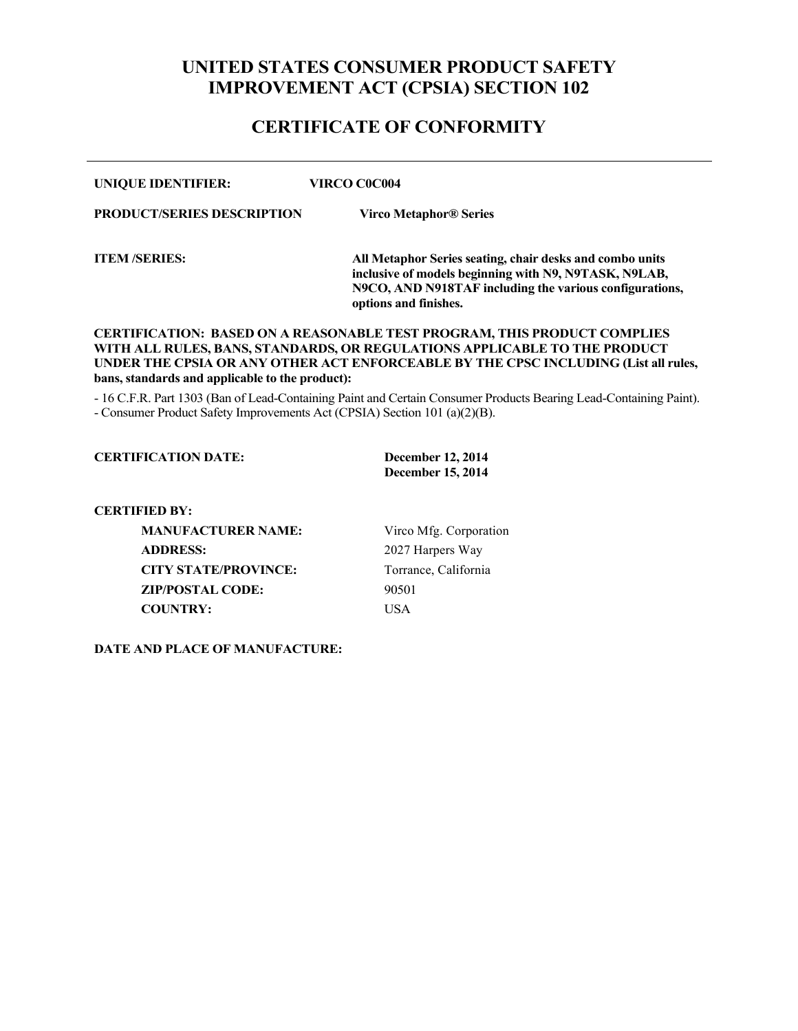# **UNITED STATES CONSUMER PRODUCT SAFETY IMPROVEMENT ACT (CPSIA) SECTION 102**

## **CERTIFICATE OF CONFORMITY**

| <b>UNIQUE IDENTIFIER:</b>         | VIRCO C0C004                                                                                                                                                                                          |
|-----------------------------------|-------------------------------------------------------------------------------------------------------------------------------------------------------------------------------------------------------|
| <b>PRODUCT/SERIES DESCRIPTION</b> | Virco Metaphor® Series                                                                                                                                                                                |
| <b>ITEM /SERIES:</b>              | All Metaphor Series seating, chair desks and combo units<br>inclusive of models beginning with N9, N9TASK, N9LAB,<br>N9CO, AND N918TAF including the various configurations,<br>options and finishes. |

#### **CERTIFICATION: BASED ON A REASONABLE TEST PROGRAM, THIS PRODUCT COMPLIES WITH ALL RULES, BANS, STANDARDS, OR REGULATIONS APPLICABLE TO THE PRODUCT UNDER THE CPSIA OR ANY OTHER ACT ENFORCEABLE BY THE CPSC INCLUDING (List all rules, bans, standards and applicable to the product):**

- 16 C.F.R. Part 1303 (Ban of Lead-Containing Paint and Certain Consumer Products Bearing Lead-Containing Paint). - Consumer Product Safety Improvements Act (CPSIA) Section 101 (a)(2)(B).

### **CERTIFICATION DATE: December 12, 2014**

**December 15, 2014**

#### **CERTIFIED BY:**

**MANUFACTURER NAME:** Virco Mfg. Corporation **ADDRESS:** 2027 Harpers Way **CITY STATE/PROVINCE:** Torrance, California **ZIP/POSTAL CODE:** 90501 **COUNTRY:** USA

**DATE AND PLACE OF MANUFACTURE:**